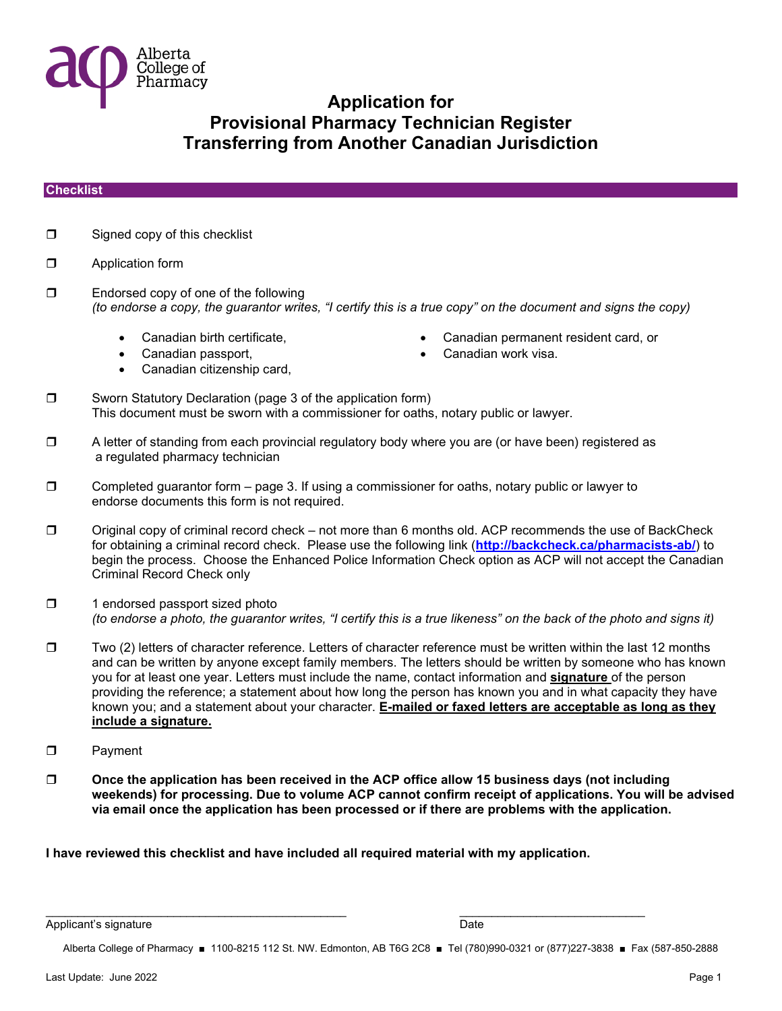

#### **Checklist**

- $\Box$  Signed copy of this checklist
- **D** Application form
- □ Endorsed copy of one of the following *(to endorse a copy, the guarantor writes, "I certify this is a true copy" on the document and signs the copy)* 
	-
	-
	- Canadian citizenship card,
	- Canadian birth certificate, Canadian permanent resident card, or
		- Canadian passport, Canadian work visa.
- □ Sworn Statutory Declaration (page 3 of the application form) This document must be sworn with a commissioner for oaths, notary public or lawyer.
- □ A letter of standing from each provincial regulatory body where you are (or have been) registered as a regulated pharmacy technician
- $\Box$  Completed guarantor form page 3. If using a commissioner for oaths, notary public or lawyer to endorse documents this form is not required.
- $\Box$  Original copy of criminal record check not more than 6 months old. ACP recommends the use of BackCheck for obtaining a criminal record check. Please use the following link (**<http://backcheck.ca/pharmacists-ab/>**) to begin the process. Choose the Enhanced Police Information Check option as ACP will not accept the Canadian Criminal Record Check only
- $\Box$  1 endorsed passport sized photo *(to endorse a photo, the guarantor writes, "I certify this is a true likeness" on the back of the photo and signs it)*
- $\square$  Two (2) letters of character reference. Letters of character reference must be written within the last 12 months and can be written by anyone except family members. The letters should be written by someone who has known you for at least one year. Letters must include the name, contact information and **signature** of the person providing the reference; a statement about how long the person has known you and in what capacity they have known you; and a statement about your character. **E-mailed or faxed letters are acceptable as long as they include a signature.**
- **D** Payment
- **Once the application has been received in the ACP office allow 15 business days (not including weekends) for processing. Due to volume ACP cannot confirm receipt of applications. You will be advised via email once the application has been processed or if there are problems with the application.**

**I have reviewed this checklist and have included all required material with my application.** 

 $\frac{1}{2}$  ,  $\frac{1}{2}$  ,  $\frac{1}{2}$  ,  $\frac{1}{2}$  ,  $\frac{1}{2}$  ,  $\frac{1}{2}$  ,  $\frac{1}{2}$  ,  $\frac{1}{2}$  ,  $\frac{1}{2}$  ,  $\frac{1}{2}$  ,  $\frac{1}{2}$  ,  $\frac{1}{2}$  ,  $\frac{1}{2}$  ,  $\frac{1}{2}$  ,  $\frac{1}{2}$  ,  $\frac{1}{2}$  ,  $\frac{1}{2}$  ,  $\frac{1}{2}$  ,  $\frac{1$ 

Applicant's signature **Date** Date of the Date of the Date of the Date of the Date of the Date of the Date of the Date of the Date of the Date of the Date of the Date of the Date of the Date of the Date of the Date of the D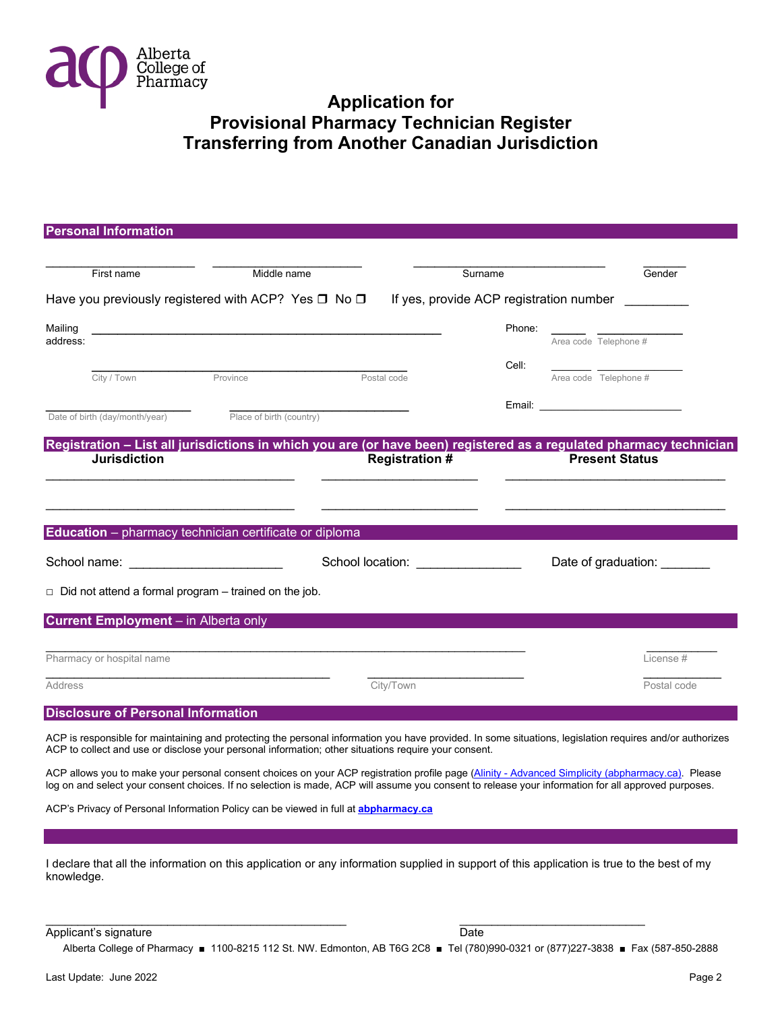

| <b>Personal Information</b>                                                                                                                                                                                                                                                                              |                          |                                   |                                         |                                                                                                                                                                                                                                |
|----------------------------------------------------------------------------------------------------------------------------------------------------------------------------------------------------------------------------------------------------------------------------------------------------------|--------------------------|-----------------------------------|-----------------------------------------|--------------------------------------------------------------------------------------------------------------------------------------------------------------------------------------------------------------------------------|
| First name                                                                                                                                                                                                                                                                                               | Middle name              |                                   | Surname                                 | Gender                                                                                                                                                                                                                         |
| Have you previously registered with ACP? Yes $\square$ No $\square$                                                                                                                                                                                                                                      |                          |                                   | If yes, provide ACP registration number |                                                                                                                                                                                                                                |
| Mailing<br>address:                                                                                                                                                                                                                                                                                      |                          |                                   | Phone:                                  | Area code Telephone #                                                                                                                                                                                                          |
| City / Town                                                                                                                                                                                                                                                                                              | Province                 | Postal code                       | Cell:                                   | Area code Telephone #                                                                                                                                                                                                          |
|                                                                                                                                                                                                                                                                                                          |                          |                                   |                                         | Email: Email: All and the state of the state of the state of the state of the state of the state of the state of the state of the state of the state of the state of the state of the state of the state of the state of the s |
| Date of birth (day/month/year)                                                                                                                                                                                                                                                                           | Place of birth (country) |                                   |                                         |                                                                                                                                                                                                                                |
| Registration - List all jurisdictions in which you are (or have been) registered as a regulated pharmacy technician<br><b>Jurisdiction</b>                                                                                                                                                               |                          | <b>Registration #</b>             |                                         | <b>Present Status</b>                                                                                                                                                                                                          |
|                                                                                                                                                                                                                                                                                                          |                          |                                   |                                         |                                                                                                                                                                                                                                |
| Education - pharmacy technician certificate or diploma                                                                                                                                                                                                                                                   |                          |                                   |                                         |                                                                                                                                                                                                                                |
|                                                                                                                                                                                                                                                                                                          |                          | School location: ________________ |                                         | Date of graduation: _______                                                                                                                                                                                                    |
| $\Box$ Did not attend a formal program – trained on the job.                                                                                                                                                                                                                                             |                          |                                   |                                         |                                                                                                                                                                                                                                |
| <b>Current Employment</b> – in Alberta only                                                                                                                                                                                                                                                              |                          |                                   |                                         |                                                                                                                                                                                                                                |
| Pharmacy or hospital name                                                                                                                                                                                                                                                                                |                          |                                   |                                         | License #                                                                                                                                                                                                                      |
| Address                                                                                                                                                                                                                                                                                                  |                          | City/Town                         |                                         | Postal code                                                                                                                                                                                                                    |
| <b>Disclosure of Personal Information</b>                                                                                                                                                                                                                                                                |                          |                                   |                                         |                                                                                                                                                                                                                                |
| ACP is responsible for maintaining and protecting the personal information you have provided. In some situations, legislation requires and/or authorizes<br>ACP to collect and use or disclose your personal information; other situations require your consent.                                         |                          |                                   |                                         |                                                                                                                                                                                                                                |
| ACP allows you to make your personal consent choices on your ACP registration profile page (Alinity - Advanced Simplicity (abpharmacy.ca). Please<br>log on and select your consent choices. If no selection is made, ACP will assume you consent to release your information for all approved purposes. |                          |                                   |                                         |                                                                                                                                                                                                                                |
| ACP's Privacy of Personal Information Policy can be viewed in full at <b>abpharmacy.ca</b>                                                                                                                                                                                                               |                          |                                   |                                         |                                                                                                                                                                                                                                |
|                                                                                                                                                                                                                                                                                                          |                          |                                   |                                         |                                                                                                                                                                                                                                |
| I declare that all the information on this application or any information supplied in support of this application is true to the best of my                                                                                                                                                              |                          |                                   |                                         |                                                                                                                                                                                                                                |

I declare that all the information on this application or any information supplied in support of this application is true to the best of my knowledge.

 $\frac{1}{2}$  ,  $\frac{1}{2}$  ,  $\frac{1}{2}$  ,  $\frac{1}{2}$  ,  $\frac{1}{2}$  ,  $\frac{1}{2}$  ,  $\frac{1}{2}$  ,  $\frac{1}{2}$  ,  $\frac{1}{2}$  ,  $\frac{1}{2}$  ,  $\frac{1}{2}$  ,  $\frac{1}{2}$  ,  $\frac{1}{2}$  ,  $\frac{1}{2}$  ,  $\frac{1}{2}$  ,  $\frac{1}{2}$  ,  $\frac{1}{2}$  ,  $\frac{1}{2}$  ,  $\frac{1$ Applicant's signature Date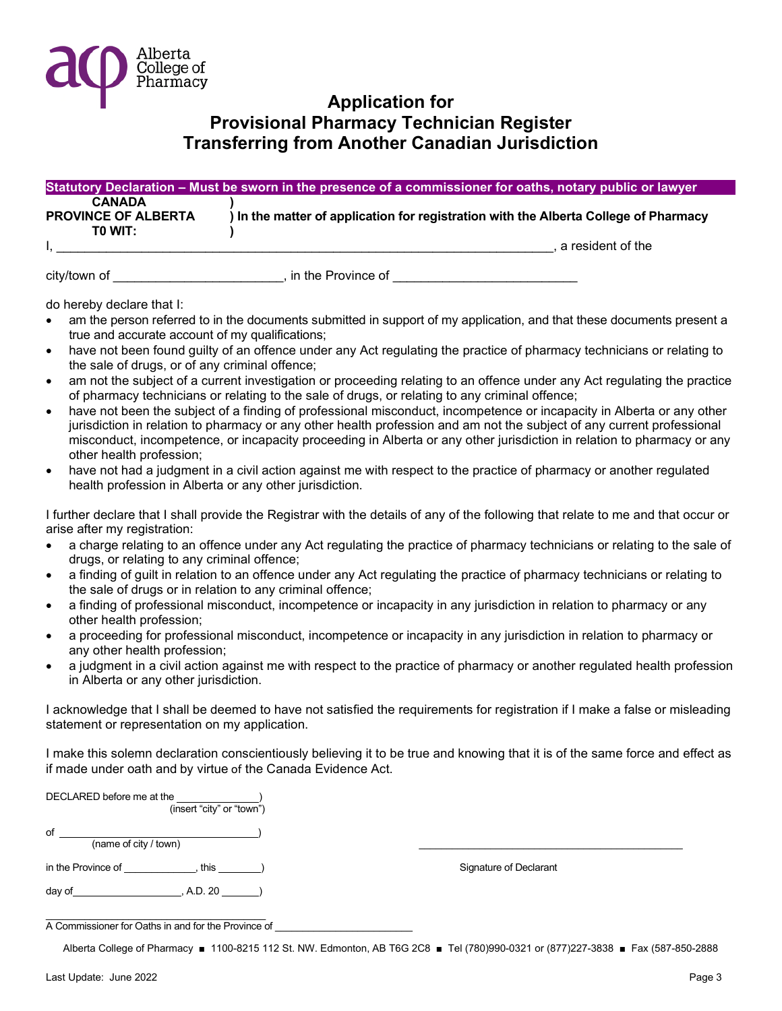

|                            | Statutory Declaration - Must be sworn in the presence of a commissioner for oaths, notary public or lawyer |
|----------------------------|------------------------------------------------------------------------------------------------------------|
| <b>CANADA</b>              |                                                                                                            |
| <b>PROVINCE OF ALBERTA</b> | ) In the matter of application for registration with the Alberta College of Pharmacy                       |
| TO WIT:                    |                                                                                                            |
|                            | a resident of the                                                                                          |
|                            |                                                                                                            |

city/town of \_\_\_\_\_\_\_\_\_\_\_\_\_\_\_\_\_\_\_\_\_\_\_\_\_\_\_\_, in the Province of

- do hereby declare that I: am the person referred to in the documents submitted in support of my application, and that these documents present a true and accurate account of my qualifications;
- have not been found guilty of an offence under any Act regulating the practice of pharmacy technicians or relating to the sale of drugs, or of any criminal offence;
- am not the subject of a current investigation or proceeding relating to an offence under any Act regulating the practice of pharmacy technicians or relating to the sale of drugs, or relating to any criminal offence;
- have not been the subject of a finding of professional misconduct, incompetence or incapacity in Alberta or any other jurisdiction in relation to pharmacy or any other health profession and am not the subject of any current professional misconduct, incompetence, or incapacity proceeding in Alberta or any other jurisdiction in relation to pharmacy or any other health profession;
- have not had a judgment in a civil action against me with respect to the practice of pharmacy or another regulated health profession in Alberta or any other jurisdiction.

I further declare that I shall provide the Registrar with the details of any of the following that relate to me and that occur or arise after my registration:

- a charge relating to an offence under any Act regulating the practice of pharmacy technicians or relating to the sale of drugs, or relating to any criminal offence;
- a finding of guilt in relation to an offence under any Act regulating the practice of pharmacy technicians or relating to the sale of drugs or in relation to any criminal offence;
- a finding of professional misconduct, incompetence or incapacity in any jurisdiction in relation to pharmacy or any other health profession;
- a proceeding for professional misconduct, incompetence or incapacity in any jurisdiction in relation to pharmacy or any other health profession;
- a judgment in a civil action against me with respect to the practice of pharmacy or another regulated health profession in Alberta or any other jurisdiction.

I acknowledge that I shall be deemed to have not satisfied the requirements for registration if I make a false or misleading statement or representation on my application.

I make this solemn declaration conscientiously believing it to be true and knowing that it is of the same force and effect as if made under oath and by virtue of the Canada Evidence Act.

| DECLARED before me at the<br>(insert "city" or "town") |                        |
|--------------------------------------------------------|------------------------|
| of<br>(name of city / town)                            |                        |
| in the Province of<br>this.                            | Signature of Declarant |
| day of<br>, A.D. 20                                    |                        |

A Commissioner for Oaths in and for the Province of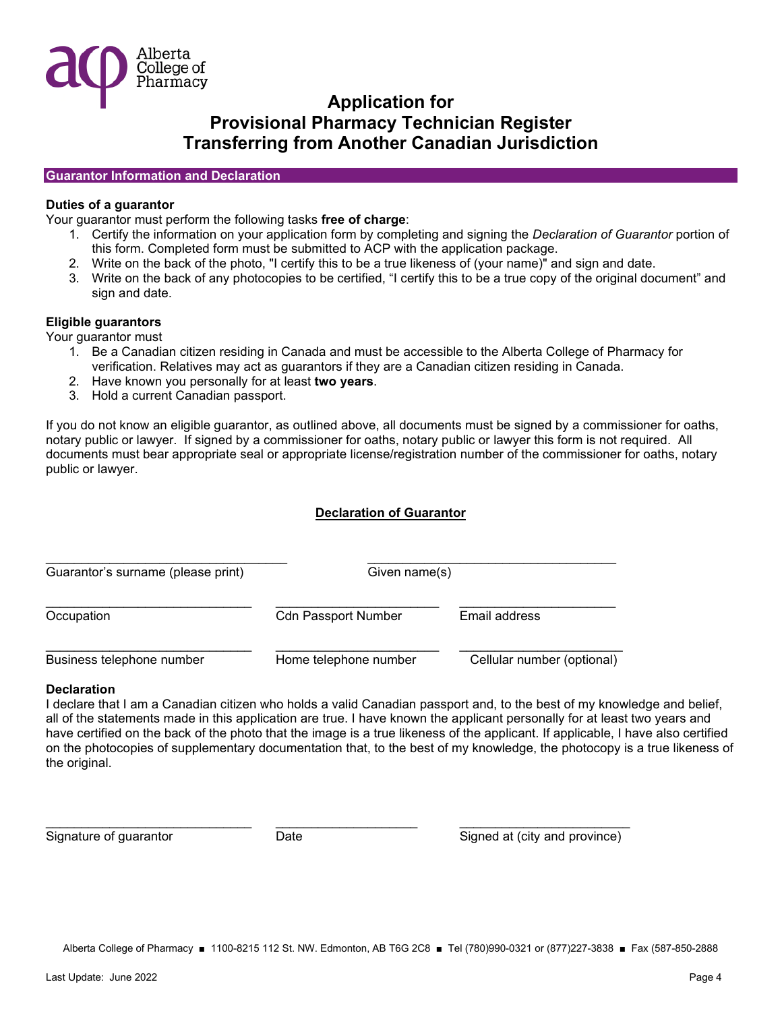

#### **Guarantor Information and Declaration**

#### **Duties of a guarantor**

Your guarantor must perform the following tasks **free of charge**:

- 1. Certify the information on your application form by completing and signing the *Declaration of Guarantor* portion of this form. Completed form must be submitted to ACP with the application package.
- 2. Write on the back of the photo, "I certify this to be a true likeness of (your name)" and sign and date.
- 3. Write on the back of any photocopies to be certified, "I certify this to be a true copy of the original document" and sign and date.

### **Eligible guarantors**

Your guarantor must

- 1. Be a Canadian citizen residing in Canada and must be accessible to the Alberta College of Pharmacy for verification. Relatives may act as guarantors if they are a Canadian citizen residing in Canada.
- 2. Have known you personally for at least **two years**.
- 3. Hold a current Canadian passport.

If you do not know an eligible guarantor, as outlined above, all documents must be signed by a commissioner for oaths, notary public or lawyer. If signed by a commissioner for oaths, notary public or lawyer this form is not required. All documents must bear appropriate seal or appropriate license/registration number of the commissioner for oaths, notary public or lawyer.

### **Declaration of Guarantor**

| Guarantor's surname (please print) | Given name(s)              |                            |  |
|------------------------------------|----------------------------|----------------------------|--|
| Occupation                         | <b>Cdn Passport Number</b> | Email address              |  |
| Business telephone number          | Home telephone number      | Cellular number (optional) |  |

#### **Declaration**

I declare that I am a Canadian citizen who holds a valid Canadian passport and, to the best of my knowledge and belief, all of the statements made in this application are true. I have known the applicant personally for at least two years and have certified on the back of the photo that the image is a true likeness of the applicant. If applicable, I have also certified on the photocopies of supplementary documentation that, to the best of my knowledge, the photocopy is a true likeness of the original.

Signature of guarantor **Signature of guarantic Community** Date Signed at (city and province)